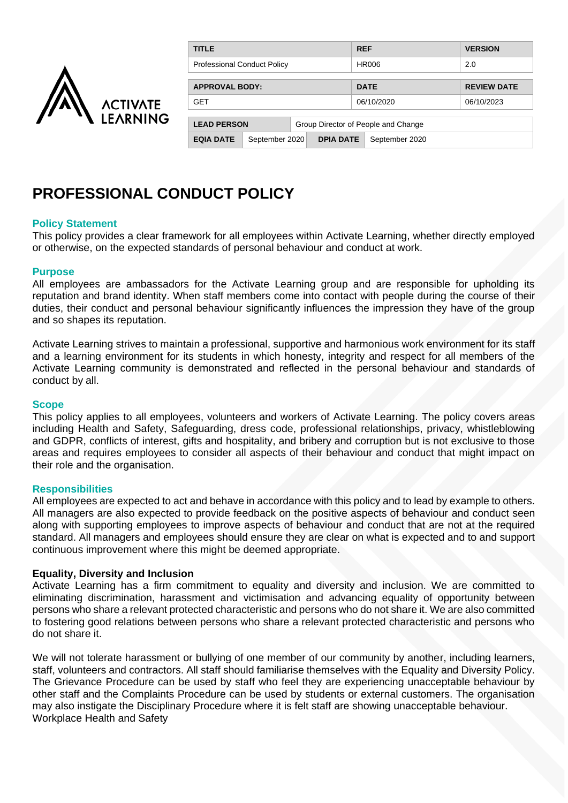

| TITLE                                                     |                |                  |             |                | <b>VERSION</b>     |
|-----------------------------------------------------------|----------------|------------------|-------------|----------------|--------------------|
| <b>Professional Conduct Policy</b>                        |                |                  | HR006       |                | 2.0                |
|                                                           |                |                  |             |                |                    |
| <b>APPROVAL BODY:</b>                                     |                |                  | <b>DATE</b> |                | <b>REVIEW DATE</b> |
| <b>GET</b>                                                |                |                  | 06/10/2020  |                | 06/10/2023         |
| <b>LEAD PERSON</b><br>Group Director of People and Change |                |                  |             |                |                    |
| <b>EQIA DATE</b>                                          | September 2020 | <b>DPIA DATE</b> |             | September 2020 |                    |

# **PROFESSIONAL CONDUCT POLICY**

## **Policy Statement**

This policy provides a clear framework for all employees within Activate Learning, whether directly employed or otherwise, on the expected standards of personal behaviour and conduct at work.

### **Purpose**

All employees are ambassadors for the Activate Learning group and are responsible for upholding its reputation and brand identity. When staff members come into contact with people during the course of their duties, their conduct and personal behaviour significantly influences the impression they have of the group and so shapes its reputation.

Activate Learning strives to maintain a professional, supportive and harmonious work environment for its staff and a learning environment for its students in which honesty, integrity and respect for all members of the Activate Learning community is demonstrated and reflected in the personal behaviour and standards of conduct by all.

#### **Scope**

This policy applies to all employees, volunteers and workers of Activate Learning. The policy covers areas including Health and Safety, Safeguarding, dress code, professional relationships, privacy, whistleblowing and GDPR, conflicts of interest, gifts and hospitality, and bribery and corruption but is not exclusive to those areas and requires employees to consider all aspects of their behaviour and conduct that might impact on their role and the organisation.

### **Responsibilities**

All employees are expected to act and behave in accordance with this policy and to lead by example to others. All managers are also expected to provide feedback on the positive aspects of behaviour and conduct seen along with supporting employees to improve aspects of behaviour and conduct that are not at the required standard. All managers and employees should ensure they are clear on what is expected and to and support continuous improvement where this might be deemed appropriate.

### **Equality, Diversity and Inclusion**

Activate Learning has a firm commitment to equality and diversity and inclusion. We are committed to eliminating discrimination, harassment and victimisation and advancing equality of opportunity between persons who share a relevant protected characteristic and persons who do not share it. We are also committed to fostering good relations between persons who share a relevant protected characteristic and persons who do not share it.

We will not tolerate harassment or bullying of one member of our community by another, including learners, staff, volunteers and contractors. All staff should familiarise themselves with the Equality and Diversity Policy. The Grievance Procedure can be used by staff who feel they are experiencing unacceptable behaviour by other staff and the Complaints Procedure can be used by students or external customers. The organisation may also instigate the Disciplinary Procedure where it is felt staff are showing unacceptable behaviour. Workplace Health and Safety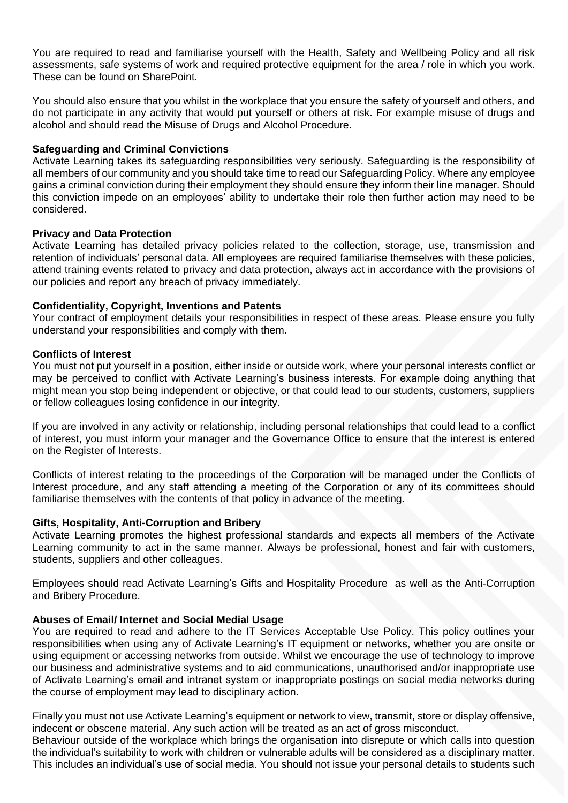You are required to read and familiarise yourself with the Health, Safety and Wellbeing Policy and all risk assessments, safe systems of work and required protective equipment for the area / role in which you work. These can be found on SharePoint.

You should also ensure that you whilst in the workplace that you ensure the safety of yourself and others, and do not participate in any activity that would put yourself or others at risk. For example misuse of drugs and alcohol and should read the Misuse of Drugs and Alcohol Procedure.

## **Safeguarding and Criminal Convictions**

Activate Learning takes its safeguarding responsibilities very seriously. Safeguarding is the responsibility of all members of our community and you should take time to read our Safeguarding Policy. Where any employee gains a criminal conviction during their employment they should ensure they inform their line manager. Should this conviction impede on an employees' ability to undertake their role then further action may need to be considered.

## **Privacy and Data Protection**

Activate Learning has detailed privacy policies related to the collection, storage, use, transmission and retention of individuals' personal data. All employees are required familiarise themselves with these policies, attend training events related to privacy and data protection, always act in accordance with the provisions of our policies and report any breach of privacy immediately.

## **Confidentiality, Copyright, Inventions and Patents**

Your contract of employment details your responsibilities in respect of these areas. Please ensure you fully understand your responsibilities and comply with them.

## **Conflicts of Interest**

You must not put yourself in a position, either inside or outside work, where your personal interests conflict or may be perceived to conflict with Activate Learning's business interests. For example doing anything that might mean you stop being independent or objective, or that could lead to our students, customers, suppliers or fellow colleagues losing confidence in our integrity.

If you are involved in any activity or relationship, including personal relationships that could lead to a conflict of interest, you must inform your manager and the Governance Office to ensure that the interest is entered on the Register of Interests.

Conflicts of interest relating to the proceedings of the Corporation will be managed under the Conflicts of Interest procedure, and any staff attending a meeting of the Corporation or any of its committees should familiarise themselves with the contents of that policy in advance of the meeting.

### **Gifts, Hospitality, Anti-Corruption and Bribery**

Activate Learning promotes the highest professional standards and expects all members of the Activate Learning community to act in the same manner. Always be professional, honest and fair with customers, students, suppliers and other colleagues.

Employees should read Activate Learning's Gifts and Hospitality Procedure as well as the Anti-Corruption and Bribery Procedure.

# **Abuses of Email/ Internet and Social Medial Usage**

You are required to read and adhere to the IT Services Acceptable Use Policy. This policy outlines your responsibilities when using any of Activate Learning's IT equipment or networks, whether you are onsite or using equipment or accessing networks from outside. Whilst we encourage the use of technology to improve our business and administrative systems and to aid communications, unauthorised and/or inappropriate use of Activate Learning's email and intranet system or inappropriate postings on social media networks during the course of employment may lead to disciplinary action.

Finally you must not use Activate Learning's equipment or network to view, transmit, store or display offensive, indecent or obscene material. Any such action will be treated as an act of gross misconduct.

Behaviour outside of the workplace which brings the organisation into disrepute or which calls into question the individual's suitability to work with children or vulnerable adults will be considered as a disciplinary matter. This includes an individual's use of social media. You should not issue your personal details to students such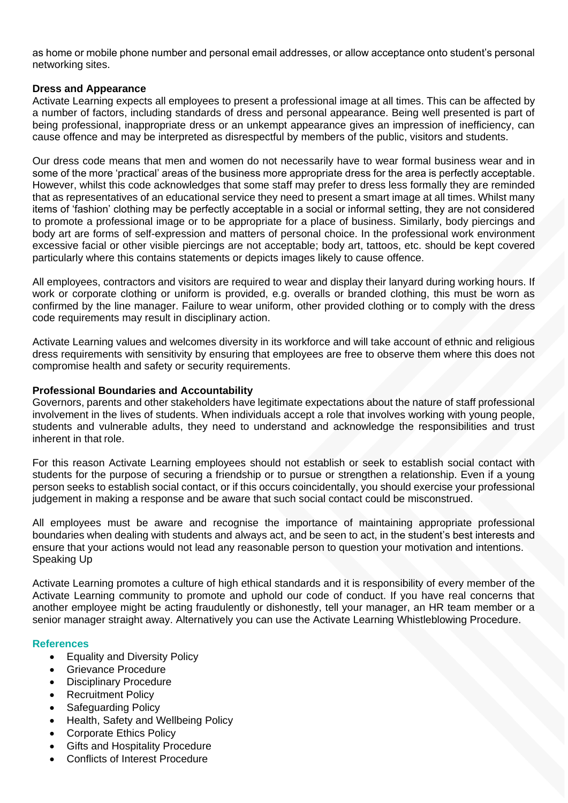as home or mobile phone number and personal email addresses, or allow acceptance onto student's personal networking sites.

### **Dress and Appearance**

Activate Learning expects all employees to present a professional image at all times. This can be affected by a number of factors, including standards of dress and personal appearance. Being well presented is part of being professional, inappropriate dress or an unkempt appearance gives an impression of inefficiency, can cause offence and may be interpreted as disrespectful by members of the public, visitors and students.

Our dress code means that men and women do not necessarily have to wear formal business wear and in some of the more 'practical' areas of the business more appropriate dress for the area is perfectly acceptable. However, whilst this code acknowledges that some staff may prefer to dress less formally they are reminded that as representatives of an educational service they need to present a smart image at all times. Whilst many items of 'fashion' clothing may be perfectly acceptable in a social or informal setting, they are not considered to promote a professional image or to be appropriate for a place of business. Similarly, body piercings and body art are forms of self-expression and matters of personal choice. In the professional work environment excessive facial or other visible piercings are not acceptable; body art, tattoos, etc. should be kept covered particularly where this contains statements or depicts images likely to cause offence.

All employees, contractors and visitors are required to wear and display their lanyard during working hours. If work or corporate clothing or uniform is provided, e.g. overalls or branded clothing, this must be worn as confirmed by the line manager. Failure to wear uniform, other provided clothing or to comply with the dress code requirements may result in disciplinary action.

Activate Learning values and welcomes diversity in its workforce and will take account of ethnic and religious dress requirements with sensitivity by ensuring that employees are free to observe them where this does not compromise health and safety or security requirements.

# **Professional Boundaries and Accountability**

Governors, parents and other stakeholders have legitimate expectations about the nature of staff professional involvement in the lives of students. When individuals accept a role that involves working with young people, students and vulnerable adults, they need to understand and acknowledge the responsibilities and trust inherent in that role.

For this reason Activate Learning employees should not establish or seek to establish social contact with students for the purpose of securing a friendship or to pursue or strengthen a relationship. Even if a young person seeks to establish social contact, or if this occurs coincidentally, you should exercise your professional judgement in making a response and be aware that such social contact could be misconstrued.

All employees must be aware and recognise the importance of maintaining appropriate professional boundaries when dealing with students and always act, and be seen to act, in the student's best interests and ensure that your actions would not lead any reasonable person to question your motivation and intentions. Speaking Up

Activate Learning promotes a culture of high ethical standards and it is responsibility of every member of the Activate Learning community to promote and uphold our code of conduct. If you have real concerns that another employee might be acting fraudulently or dishonestly, tell your manager, an HR team member or a senior manager straight away. Alternatively you can use the Activate Learning Whistleblowing Procedure.

# **References**

- Equality and Diversity Policy
- Grievance Procedure
- Disciplinary Procedure
- Recruitment Policy
- Safeguarding Policy
- Health, Safety and Wellbeing Policy
- Corporate Ethics Policy
- **Gifts and Hospitality Procedure**
- Conflicts of Interest Procedure